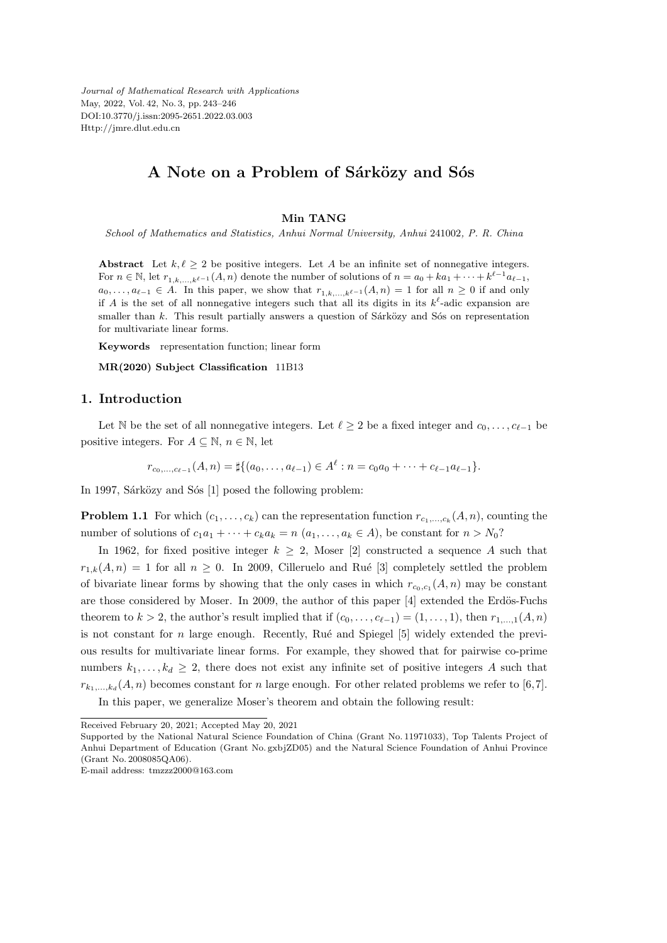*Journal of Mathematical Research with Applications* May, 2022, Vol. 42, No. 3, pp. 243–246 DOI:10.3770/j.issn:2095-2651.2022.03.003 Http://jmre.dlut.edu.cn

# A Note on a Problem of Sárközy and Sós

#### **Min TANG**

*School of Mathematics and Statistics, Anhui Normal University, Anhui* 241002*, P. R. China*

**Abstract** Let  $k, \ell \geq 2$  be positive integers. Let *A* be an infinite set of nonnegative integers. For  $n \in \mathbb{N}$ , let  $r_{1,k,...,k^{\ell-1}}(A, n)$  denote the number of solutions of  $n = a_0 + ka_1 + \cdots + k^{\ell-1}a_{\ell-1}$ ,  $a_0, \ldots, a_{\ell-1} \in A$ . In this paper, we show that  $r_{1,k,\ldots,k^{\ell-1}}(A,n) = 1$  for all  $n ≥ 0$  if and only if *A* is the set of all nonnegative integers such that all its digits in its  $k^{\ell}$ -adic expansion are smaller than  $k$ . This result partially answers a question of Sárközy and Sós on representation for multivariate linear forms.

**Keywords** representation function; linear form

**MR(2020) Subject Classification** 11B13

### **1. Introduction**

Let N be the set of all nonnegative integers. Let  $\ell \geq 2$  be a fixed integer and  $c_0, \ldots, c_{\ell-1}$  be positive integers. For  $A \subseteq \mathbb{N}$ ,  $n \in \mathbb{N}$ , let

$$
r_{c_0,\ldots,c_{\ell-1}}(A,n) = \sharp \{(a_0,\ldots,a_{\ell-1}) \in A^{\ell} : n = c_0 a_0 + \cdots + c_{\ell-1} a_{\ell-1}\}.
$$

In 1997, Sárközy and Sós  $[1]$  posed the following problem:

**Problem 1.1** For which  $(c_1, \ldots, c_k)$  can the representation function  $r_{c_1,\ldots,c_k}(A,n)$ , counting the number of solutions of  $c_1a_1 + \cdots + c_ka_k = n$   $(a_1, \ldots, a_k \in A)$ , be constant for  $n > N_0$ ?

In 1962, for fixed positive integer  $k \geq 2$ , Moser [2] constructed a sequence A such that  $r_{1,k}(A,n) = 1$  for all  $n \ge 0$ . In 2009, Cilleruelo and Rué [3] completely settled the problem of bivariate linear forms by showing that the only cases in which  $r_{c_0,c_1}(A,n)$  may be constant are those considered by Moser. In 2009, the author of this paper  $[4]$  extended the Erdös-Fuchs theorem to  $k > 2$ , the author's result implied that if  $(c_0, \ldots, c_{\ell-1}) = (1, \ldots, 1)$ , then  $r_1, \ldots, r_k$ is not constant for  $n$  large enough. Recently, Rué and Spiegel  $[5]$  widely extended the previous results for multivariate linear forms. For example, they showed that for pairwise co-prime numbers  $k_1, \ldots, k_d \geq 2$ , there does not exist any infinite set of positive integers A such that  $r_{k_1,\dots,k_d}(A,n)$  becomes constant for *n* large enough. For other related problems we refer to [6,7]. In this paper, we generalize Moser's theorem and obtain the following result:

Received February 20, 2021; Accepted May 20, 2021

Supported by the National Natural Science Foundation of China (Grant No. 11971033), Top Talents Project of Anhui Department of Education (Grant No. gxbjZD05) and the Natural Science Foundation of Anhui Province (Grant No. 2008085QA06).

E-mail address: tmzzz2000@163.com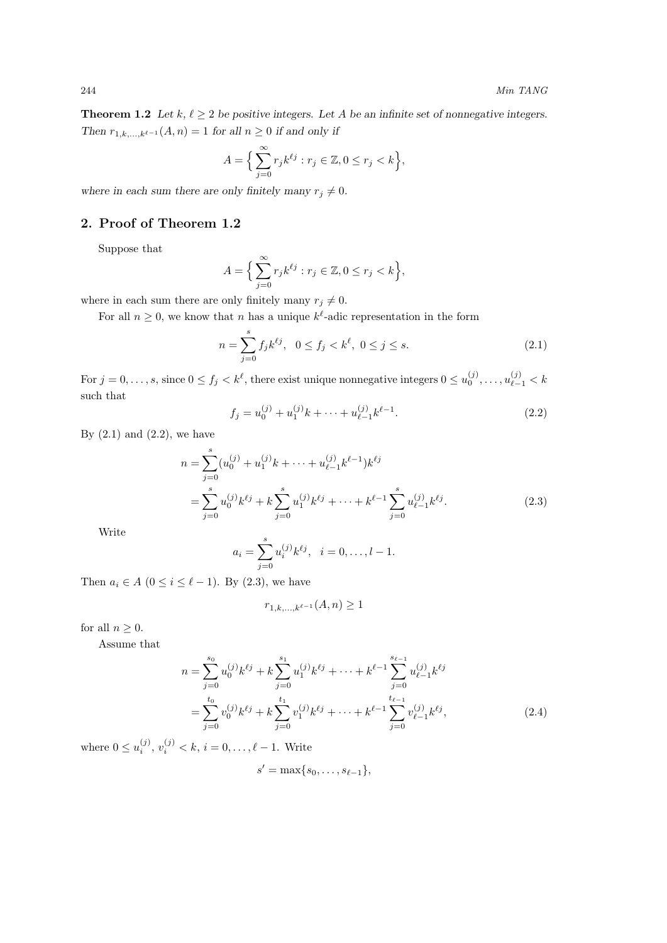**Theorem 1.2** *Let*  $k, \ell \geq 2$  *be positive integers. Let A be an infinite set of nonnegative integers. Then*  $r_{1,k,...,k^{\ell-1}}(A, n) = 1$  *for all*  $n \geq 0$  *if and only if* 

$$
A = \Big\{ \sum_{j=0}^{\infty} r_j k^{\ell j} : r_j \in \mathbb{Z}, 0 \le r_j < k \Big\},\
$$

where in each sum there are only finitely many  $r_j \neq 0$ .

### **2. Proof of Theorem 1.2**

Suppose that

$$
A = \Big\{ \sum_{j=0}^{\infty} r_j k^{\ell j} : r_j \in \mathbb{Z}, 0 \le r_j < k \Big\},\
$$

where in each sum there are only finitely many  $r_j \neq 0$ .

For all  $n \geq 0$ , we know that *n* has a unique  $k^{\ell}$ -adic representation in the form

$$
n = \sum_{j=0}^{s} f_j k^{\ell j}, \ \ 0 \le f_j < k^{\ell}, \ 0 \le j \le s. \tag{2.1}
$$

For  $j = 0, \ldots, s$ , since  $0 \le f_j < k^{\ell}$ , there exist unique nonnegative integers  $0 \le u_0^{(j)}, \ldots, u_{\ell-1}^{(j)} < k$ such that

$$
f_j = u_0^{(j)} + u_1^{(j)}k + \dots + u_{\ell-1}^{(j)}k^{\ell-1}.
$$
 (2.2)

By  $(2.1)$  and  $(2.2)$ , we have

$$
n = \sum_{j=0}^{s} (u_0^{(j)} + u_1^{(j)}k + \dots + u_{\ell-1}^{(j)}k^{\ell-1})k^{\ell j}
$$
  
= 
$$
\sum_{j=0}^{s} u_0^{(j)}k^{\ell j} + k \sum_{j=0}^{s} u_1^{(j)}k^{\ell j} + \dots + k^{\ell-1} \sum_{j=0}^{s} u_{\ell-1}^{(j)}k^{\ell j}.
$$
 (2.3)

Write

$$
a_i = \sum_{j=0}^{s} u_i^{(j)} k^{\ell j}, \quad i = 0, \dots, l-1.
$$

Then  $a_i \in A$  ( $0 \leq i \leq \ell - 1$ ). By (2.3), we have

$$
r_{1,k,...,k^{\ell-1}}(A,n) \ge 1
$$

for all  $n \geq 0$ .

Assume that

$$
n = \sum_{j=0}^{s_0} u_0^{(j)} k^{\ell j} + k \sum_{j=0}^{s_1} u_1^{(j)} k^{\ell j} + \dots + k^{\ell-1} \sum_{j=0}^{s_{\ell-1}} u_{\ell-1}^{(j)} k^{\ell j} = \sum_{j=0}^{t_0} v_0^{(j)} k^{\ell j} + k \sum_{j=0}^{t_1} v_1^{(j)} k^{\ell j} + \dots + k^{\ell-1} \sum_{j=0}^{t_{\ell-1}} v_{\ell-1}^{(j)} k^{\ell j},
$$
(2.4)

where  $0 \le u_i^{(j)}$ ,  $v_i^{(j)} < k$ ,  $i = 0, ..., \ell - 1$ . Write

$$
s'=\max\{s_0,\ldots,s_{\ell-1}\},\,
$$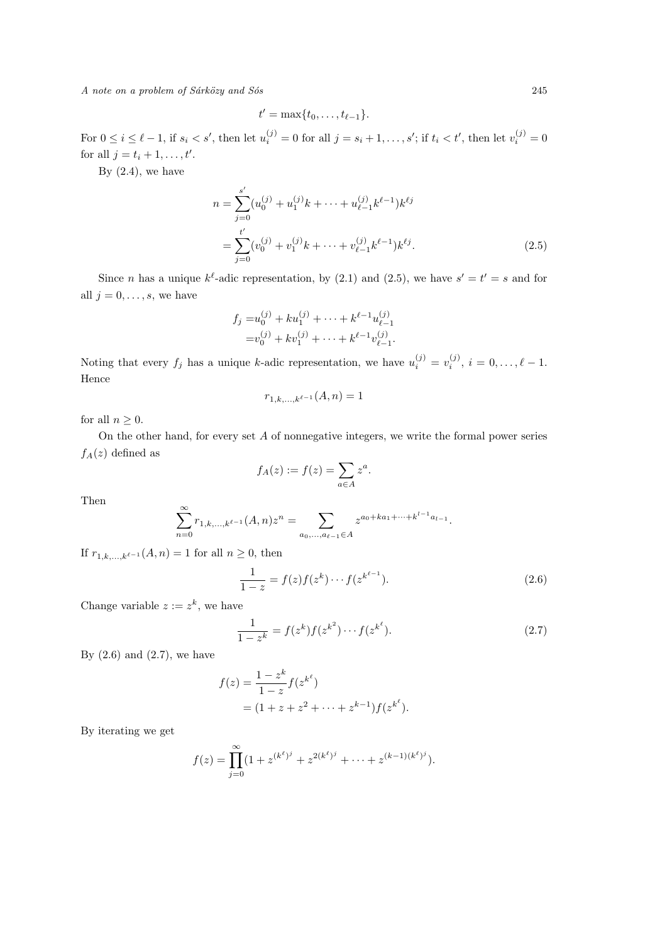*A note on a problem of Sárközy and Sós* 245

$$
t'=\max\{t_0,\ldots,t_{\ell-1}\}.
$$

For  $0 \leq i \leq \ell - 1$ , if  $s_i < s'$ , then let  $u_i^{(j)} = 0$  for all  $j = s_i + 1, \ldots, s'$ ; if  $t_i < t'$ , then let  $v_i^{(j)} = 0$ for all  $j = t_i + 1, ..., t'$ .

By  $(2.4)$ , we have

$$
n = \sum_{j=0}^{s'} (u_0^{(j)} + u_1^{(j)}k + \dots + u_{\ell-1}^{(j)}k^{\ell-1})k^{\ell j}
$$
  
= 
$$
\sum_{j=0}^{t'} (v_0^{(j)} + v_1^{(j)}k + \dots + v_{\ell-1}^{(j)}k^{\ell-1})k^{\ell j}.
$$
 (2.5)

Since *n* has a unique  $k^{\ell}$ -adic representation, by (2.1) and (2.5), we have  $s' = t' = s$  and for all  $j = 0, \ldots, s$ , we have

$$
f_j = u_0^{(j)} + ku_1^{(j)} + \dots + k^{\ell-1} u_{\ell-1}^{(j)}
$$
  
=  $v_0^{(j)} + kv_1^{(j)} + \dots + k^{\ell-1} v_{\ell-1}^{(j)}$ .

Noting that every  $f_j$  has a unique *k*-adic representation, we have  $u_i^{(j)} = v_i^{(j)}$ ,  $i = 0, \ldots, \ell - 1$ . Hence

$$
r_{1,k,\dots,k^{\ell-1}}(A,n) = 1
$$

for all  $n \geq 0$ .

On the other hand, for every set *A* of nonnegative integers, we write the formal power series  $f_A(z)$  defined as

$$
f_A(z) := f(z) = \sum_{a \in A} z^a.
$$

Then

$$
\sum_{n=0}^{\infty} r_{1,k,\dots,k^{\ell-1}}(A,n)z^n = \sum_{a_0,\dots,a_{\ell-1}\in A} z^{a_0+ka_1+\dots+k^{l-1}a_{l-1}}.
$$

If  $r_{1,k,...,k^{\ell-1}}(A, n) = 1$  for all  $n \geq 0$ , then

$$
\frac{1}{1-z} = f(z)f(z^k) \cdots f(z^{k^{\ell-1}}).
$$
 (2.6)

Change variable  $z := z^k$ , we have

$$
\frac{1}{1-z^k} = f(z^k)f(z^{k^2})\cdots f(z^{k^\ell}).
$$
\n(2.7)

By  $(2.6)$  and  $(2.7)$ , we have

$$
f(z) = \frac{1 - z^k}{1 - z} f(z^{k^{\ell}})
$$
  
=  $(1 + z + z^2 + \dots + z^{k-1}) f(z^{k^{\ell}}).$ 

By iterating we get

$$
f(z) = \prod_{j=0}^{\infty} (1 + z^{(k^{\ell})^j} + z^{2(k^{\ell})^j} + \dots + z^{(k-1)(k^{\ell})^j}).
$$